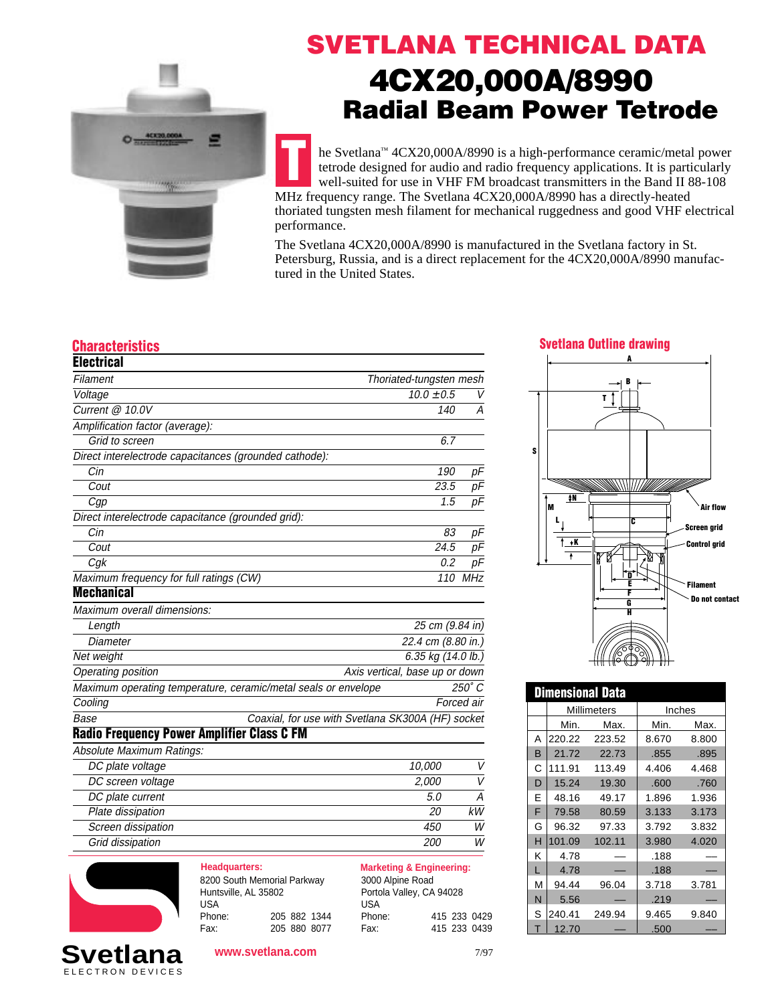

# **SVETLANA TECHNICAL DATA 4CX20,000A/8990 Radial Beam Power Tetrode**

**T** he Svetlana™ 4CX20,000A/8990 is a high-performance ceramic/metal power tetrode designed for audio and radio frequency applications. It is particularly well-suited for use in VHF FM broadcast transmitters in the Band II 88-108 MHz frequency range. The Svetlana 4CX20,000A/8990 has a directly-heated thoriated tungsten mesh filament for mechanical ruggedness and good VHF electrical performance.

The Svetlana 4CX20,000A/8990 is manufactured in the Svetlana factory in St. Petersburg, Russia, and is a direct replacement for the 4CX20,000A/8990 manufactured in the United States.

**S**

| <b>Electrical</b>                                              |                                                   |            |
|----------------------------------------------------------------|---------------------------------------------------|------------|
| Filament                                                       | Thoriated-tungsten mesh                           |            |
| Voltage                                                        | $10.0 \pm 0.5$                                    | V          |
| Current @ 10.0V                                                | 140                                               | A          |
| Amplification factor (average):                                |                                                   |            |
| Grid to screen                                                 | 6.7                                               |            |
| Direct interelectrode capacitances (grounded cathode):         |                                                   |            |
| Cin                                                            | 190                                               | pF         |
| Cout                                                           | 23.5                                              | pF         |
| Cgp                                                            | 1.5                                               | pF         |
| Direct interelectrode capacitance (grounded grid):             |                                                   |            |
| Cin                                                            | 83                                                | pF         |
| Cout                                                           | 24.5                                              | рF         |
| Cg <sub>k</sub>                                                | 0.2                                               | pF         |
| Maximum frequency for full ratings (CW)                        | 110                                               | MHz        |
| <b>Mechanical</b>                                              |                                                   |            |
| Maximum overall dimensions:                                    |                                                   |            |
| Length                                                         | 25 cm (9.84 in)                                   |            |
| Diameter                                                       | 22.4 cm (8.80 in.)                                |            |
| Net weight                                                     | 6.35 kg (14.0 lb.)                                |            |
| Operating position                                             | Axis vertical, base up or down                    |            |
| Maximum operating temperature, ceramic/metal seals or envelope |                                                   | 250° C     |
| Cooling                                                        |                                                   | Forced air |
| Base                                                           | Coaxial, for use with Svetlana SK300A (HF) socket |            |
| <b>Radio Frequency Power Amplifier Class C FM</b>              |                                                   |            |
| Absolute Maximum Ratings:                                      |                                                   |            |
| DC plate voltage                                               | 10,000                                            | V          |
| DC screen voltage                                              | 2,000                                             | V          |
| DC plate current                                               | 5.0                                               | Α          |
| Plate dissipation                                              | 20                                                | kW         |

# **Dimensional Data** Millimeters | Inches Min. Max. Min. Max. A 220.22 223.52 8.670 8.800 B 21.72 22.73 .855 .895 C 111.91 113.49 4.406 4.468 D 15.24 19.30 .600 .760 E 48.16 49.17 1.896 1.936 F 79.58 80.59 3.133 3.173 G 96.32 97.33  $\vert$  3.792 3.832 H 101.09 102.11 3.980 4.020  $K$  4.78 – 188  $L$  4.78 – 1.188 M 94.44 96.04 3.718 3.781  $N \mid 5.56 \mid - \mid .219$

 $S \ 240.41 \ 249.94 \ 9.465 \ 9.840$ 

 $T | 12.70 - | .500$ 



| Headquarters:               |  |              |
|-----------------------------|--|--------------|
| 8200 South Memorial Parkway |  |              |
| Huntsville, AL 35802        |  |              |
| <b>USA</b>                  |  |              |
| Phone:                      |  | 205 882 1344 |
| Fax:                        |  | 205 880 8077 |

Screen dissipation and the set of the set of the set of the set of the set of the set of the set of the set of the set of the set of the set of the set of the set of the set of the set of the set of the set of the set of t Grid dissipation and the contract of the contract of the contract of the contract of the contract of the contract of the contract of the contract of the contract of the contract of the contract of the contract of the contr

> **Marketing & Engineering:** 3000 Alpine Road Portola Valley, CA 94028 USA Phone: 415 233 0429<br>Fax: 415 233 0439 Fax: 415 233 0439

| <b>Svetlana</b>  |  |
|------------------|--|
| ELECTRON DEVICES |  |

### **www.svetlana.com**



**A**